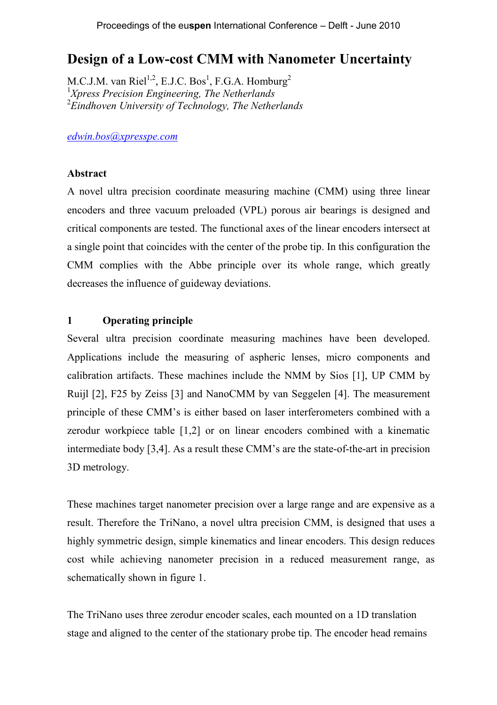# **Design of a Low-cost CMM with Nanometer Uncertainty**

 $M.C.J.M.$  van Riel<sup>1,2</sup>, E.J.C. Bos<sup>1</sup>, F.G.A. Homburg<sup>2</sup> <sup>1</sup>*Xpress Precision Engineering, The Netherlands* <sup>2</sup>*Eindhoven University of Technology, The Netherlands*

*edwin.bos@xpresspe.com*

## **Abstract**

A novel ultra precision coordinate measuring machine (CMM) using three linear encoders and three vacuum preloaded (VPL) porous air bearings is designed and critical components are tested. The functional axes of the linear encoders intersect at a single point that coincides with the center of the probe tip. In this configuration the CMM complies with the Abbe principle over its whole range, which greatly decreases the influence of guideway deviations.

# **1 Operating principle**

Several ultra precision coordinate measuring machines have been developed. Applications include the measuring of aspheric lenses, micro components and calibration artifacts. These machines include the NMM by Sios [1], UP CMM by Ruijl [2], F25 by Zeiss [3] and NanoCMM by van Seggelen [4]. The measurement principle of these CMM's is either based on laser interferometers combined with a zerodur workpiece table [1,2] or on linear encoders combined with a kinematic intermediate body [3,4]. As a result these CMM's are the state-of-the-art in precision 3D metrology.

These machines target nanometer precision over a large range and are expensive as a result. Therefore the TriNano, a novel ultra precision CMM, is designed that uses a highly symmetric design, simple kinematics and linear encoders. This design reduces cost while achieving nanometer precision in a reduced measurement range, as schematically shown in figure 1.

The TriNano uses three zerodur encoder scales, each mounted on a 1D translation stage and aligned to the center of the stationary probe tip. The encoder head remains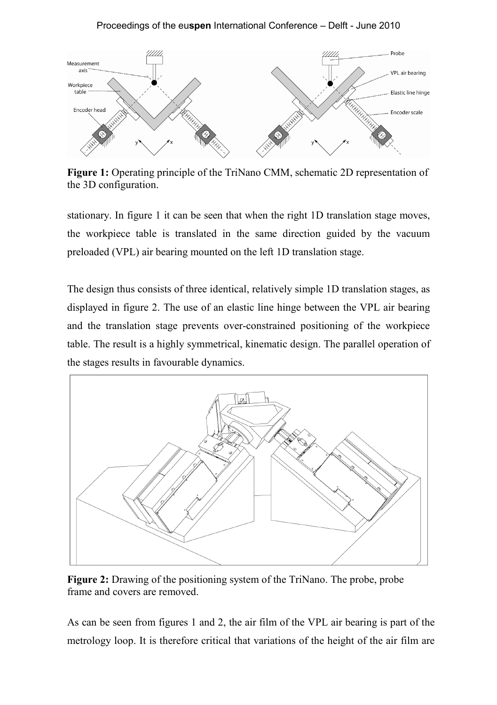#### Proceedings of the eu**spen** International Conference – Delft - June 2010



**Figure 1:** Operating principle of the TriNano CMM, schematic 2D representation of the 3D configuration.

stationary. In figure 1 it can be seen that when the right 1D translation stage moves, the workpiece table is translated in the same direction guided by the vacuum preloaded (VPL) air bearing mounted on the left 1D translation stage.

The design thus consists of three identical, relatively simple 1D translation stages, as displayed in figure 2. The use of an elastic line hinge between the VPL air bearing and the translation stage prevents over-constrained positioning of the workpiece table. The result is a highly symmetrical, kinematic design. The parallel operation of the stages results in favourable dynamics.



**Figure 2:** Drawing of the positioning system of the TriNano. The probe, probe frame and covers are removed.

As can be seen from figures 1 and 2, the air film of the VPL air bearing is part of the metrology loop. It is therefore critical that variations of the height of the air film are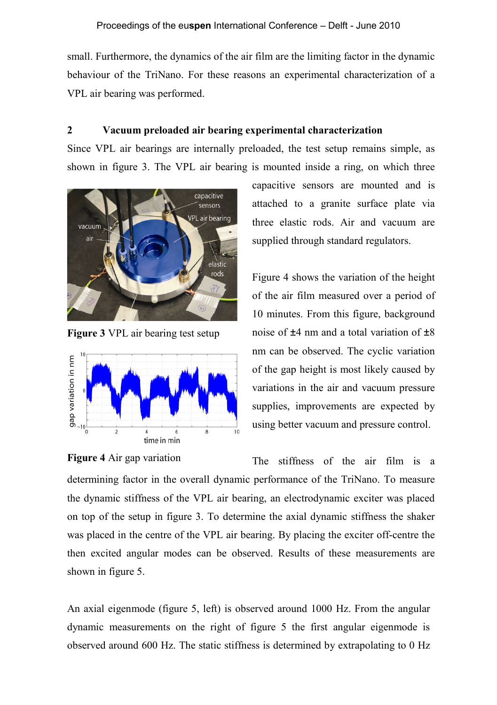small. Furthermore, the dynamics of the air film are the limiting factor in the dynamic behaviour of the TriNano. For these reasons an experimental characterization of a VPL air bearing was performed.

## **2 Vacuum preloaded air bearing experimental characterization**

Since VPL air bearings are internally preloaded, the test setup remains simple, as shown in figure 3. The VPL air bearing is mounted inside a ring, on which three



**Figure 3** VPL air bearing test setup





capacitive sensors are mounted and is attached to a granite surface plate via three elastic rods. Air and vacuum are supplied through standard regulators.

Figure 4 shows the variation of the height of the air film measured over a period of 10 minutes. From this figure, background noise of  $\pm 4$  nm and a total variation of  $\pm 8$ nm can be observed. The cyclic variation of the gap height is most likely caused by variations in the air and vacuum pressure supplies, improvements are expected by using better vacuum and pressure control.

The stiffness of the air film is a determining factor in the overall dynamic performance of the TriNano. To measure the dynamic stiffness of the VPL air bearing, an electrodynamic exciter was placed on top of the setup in figure 3. To determine the axial dynamic stiffness the shaker was placed in the centre of the VPL air bearing. By placing the exciter off-centre the then excited angular modes can be observed. Results of these measurements are shown in figure 5.

An axial eigenmode (figure 5, left) is observed around 1000 Hz. From the angular dynamic measurements on the right of figure 5 the first angular eigenmode is observed around 600 Hz. The static stiffness is determined by extrapolating to 0 Hz